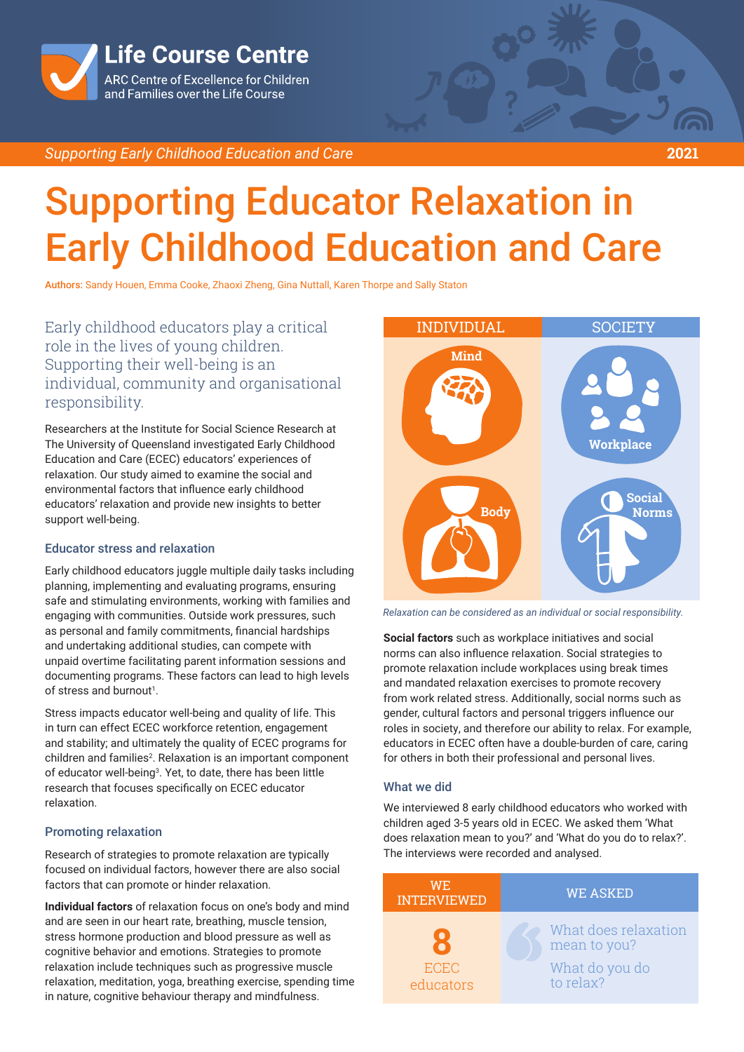

*Supporting Early Childhood Education and Care*

# Supporting Educator Relaxation in Early Childhood Education and Care

Authors: Sandy Houen, Emma Cooke, Zhaoxi Zheng, Gina Nuttall, Karen Thorpe and Sally Staton

Early childhood educators play a critical role in the lives of young children. Supporting their well-being is an individual, community and organisational responsibility.

Researchers at the Institute for Social Science Research at The University of Queensland investigated Early Childhood Education and Care (ECEC) educators' experiences of relaxation. Our study aimed to examine the social and environmental factors that influence early childhood educators' relaxation and provide new insights to better support well-being.

# Educator stress and relaxation

Early childhood educators juggle multiple daily tasks including planning, implementing and evaluating programs, ensuring safe and stimulating environments, working with families and engaging with communities. Outside work pressures, such as personal and family commitments, financial hardships and undertaking additional studies, can compete with unpaid overtime facilitating parent information sessions and documenting programs. These factors can lead to high levels of stress and burnout<sup>1</sup>.

Stress impacts educator well-being and quality of life. This in turn can effect ECEC workforce retention, engagement and stability; and ultimately the quality of ECEC programs for children and families<sup>2</sup>. Relaxation is an important component of educator well-being<sup>3</sup>. Yet, to date, there has been little research that focuses specifically on ECEC educator relaxation.

# Promoting relaxation

Research of strategies to promote relaxation are typically focused on individual factors, however there are also social factors that can promote or hinder relaxation.

**Individual factors** of relaxation focus on one's body and mind and are seen in our heart rate, breathing, muscle tension, stress hormone production and blood pressure as well as cognitive behavior and emotions. Strategies to promote relaxation include techniques such as progressive muscle relaxation, meditation, yoga, breathing exercise, spending time in nature, cognitive behaviour therapy and mindfulness.



**2021**

*Relaxation can be considered as an individual or social responsibility.*

**Social factors** such as workplace initiatives and social norms can also influence relaxation. Social strategies to promote relaxation include workplaces using break times and mandated relaxation exercises to promote recovery from work related stress. Additionally, social norms such as gender, cultural factors and personal triggers influence our roles in society, and therefore our ability to relax. For example, educators in ECEC often have a double-burden of care, caring for others in both their professional and personal lives.

# What we did

We interviewed 8 early childhood educators who worked with children aged 3-5 years old in ECEC. We asked them 'What does relaxation mean to you?' and 'What do you do to relax?'. The interviews were recorded and analysed.

| WE.<br><b>INTERVIEWED</b> | <b>WE ASKED</b>                                                     |
|---------------------------|---------------------------------------------------------------------|
| ECEC<br>educators         | What does relaxation<br>mean to you?<br>What do you do<br>to relax? |